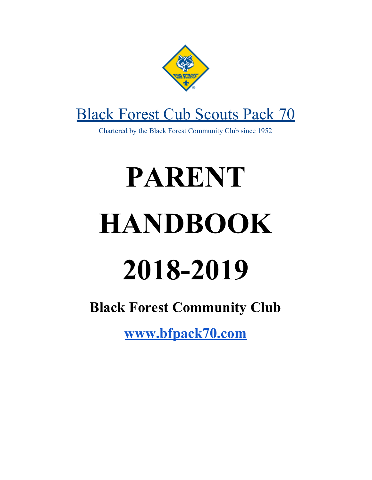

# [Black Forest Cub Scouts Pack 70](http://bfpack70.com/)

[Chartered by the Black Forest Community Club since 1952](http://bfpack70.com/)

# **PARENT HANDBOOK 2018-2019**

# **Black Forest Community Club**

**[www](http://bfpack70.com/).bfpack70.com**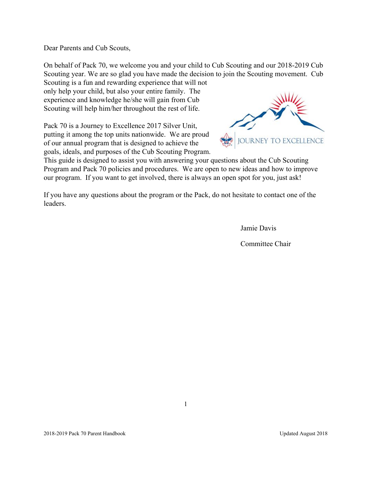Dear Parents and Cub Scouts,

On behalf of Pack 70, we welcome you and your child to Cub Scouting and our 2018-2019 Cub Scouting year. We are so glad you have made the decision to join the Scouting movement. Cub Scouting is a fun and rewarding experience that will not

only help your child, but also your entire family. The experience and knowledge he/she will gain from Cub Scouting will help him/her throughout the rest of life.

Pack 70 is a Journey to Excellence 2017 Silver Unit, putting it among the top units nationwide. We are proud of our annual program that is designed to achieve the goals, ideals, and purposes of the Cub Scouting Program.



This guide is designed to assist you with answering your questions about the Cub Scouting Program and Pack 70 policies and procedures. We are open to new ideas and how to improve our program. If you want to get involved, there is always an open spot for you, just ask!

If you have any questions about the program or the Pack, do not hesitate to contact one of the leaders.

Jamie Davis

Committee Chair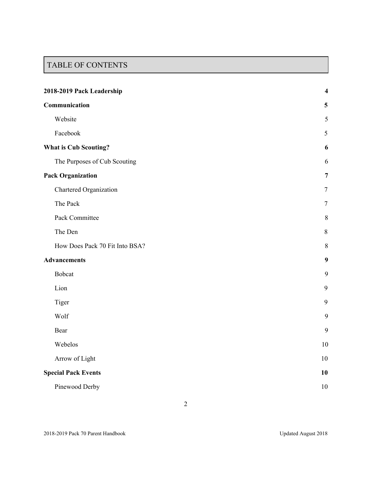# TABLE OF CONTENTS

| 2018-2019 Pack Leadership      |                         |
|--------------------------------|-------------------------|
| Communication                  | $\overline{\mathbf{5}}$ |
| Website                        | $\mathfrak s$           |
| Facebook                       | 5                       |
| <b>What is Cub Scouting?</b>   | 6                       |
| The Purposes of Cub Scouting   | 6                       |
| <b>Pack Organization</b>       | $\overline{7}$          |
| Chartered Organization         | $\overline{7}$          |
| The Pack                       | $\tau$                  |
| Pack Committee                 | $\,$ 8 $\,$             |
| The Den                        | $\,8\,$                 |
| How Does Pack 70 Fit Into BSA? | 8                       |
| <b>Advancements</b>            | 9                       |
| <b>Bobcat</b>                  | 9                       |
| Lion                           | 9                       |
| Tiger                          | 9                       |
| Wolf                           | 9                       |
| Bear                           | 9                       |
| Webelos                        | 10                      |
| Arrow of Light                 | 10                      |
| <b>Special Pack Events</b>     | 10                      |
| Pinewood Derby                 | 10                      |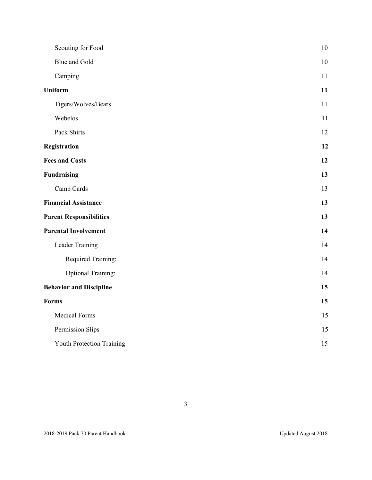| Scouting for Food              | $10\,$ |
|--------------------------------|--------|
| Blue and Gold                  | $10\,$ |
| Camping                        | 11     |
| <b>Uniform</b>                 | 11     |
| Tigers/Wolves/Bears            | 11     |
| Webelos                        | 11     |
| Pack Shirts                    | 12     |
| Registration                   | 12     |
| <b>Fees and Costs</b>          | 12     |
| <b>Fundraising</b>             | 13     |
| Camp Cards                     | 13     |
| <b>Financial Assistance</b>    | 13     |
| <b>Parent Responsibilities</b> | 13     |
| <b>Parental Involvement</b>    | 14     |
| Leader Training                | 14     |
| Required Training:             | 14     |
| <b>Optional Training:</b>      | 14     |
| <b>Behavior and Discipline</b> | 15     |
| <b>Forms</b>                   | 15     |
| <b>Medical Forms</b>           | 15     |
| Permission Slips               | 15     |
| Youth Protection Training      | 15     |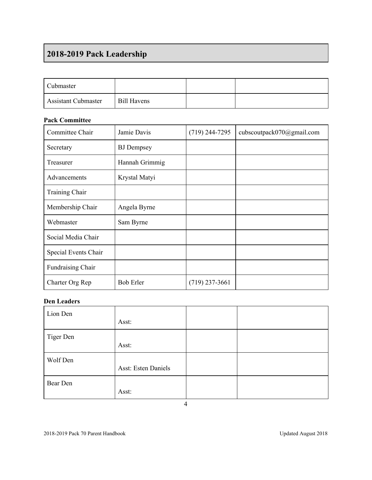# <span id="page-4-0"></span>**2018-2019 Pack Leadership**

| <b>Cubmaster</b>           |                    |  |
|----------------------------|--------------------|--|
| <b>Assistant Cubmaster</b> | <b>Bill Havens</b> |  |

# **Pack Committee**

| Committee Chair      | Jamie Davis       | $(719)$ 244-7295 | cubscoutpack070@gmail.com |
|----------------------|-------------------|------------------|---------------------------|
| Secretary            | <b>BJ</b> Dempsey |                  |                           |
| Treasurer            | Hannah Grimmig    |                  |                           |
| Advancements         | Krystal Matyi     |                  |                           |
| Training Chair       |                   |                  |                           |
| Membership Chair     | Angela Byrne      |                  |                           |
| Webmaster            | Sam Byrne         |                  |                           |
| Social Media Chair   |                   |                  |                           |
| Special Events Chair |                   |                  |                           |
| Fundraising Chair    |                   |                  |                           |
| Charter Org Rep      | <b>Bob Erler</b>  | $(719)$ 237-3661 |                           |

# **Den Leaders**

| Lion Den  |                            |  |
|-----------|----------------------------|--|
|           | Asst:                      |  |
| Tiger Den |                            |  |
|           | Asst:                      |  |
| Wolf Den  |                            |  |
|           | <b>Asst: Esten Daniels</b> |  |
| Bear Den  |                            |  |
|           | Asst:                      |  |

4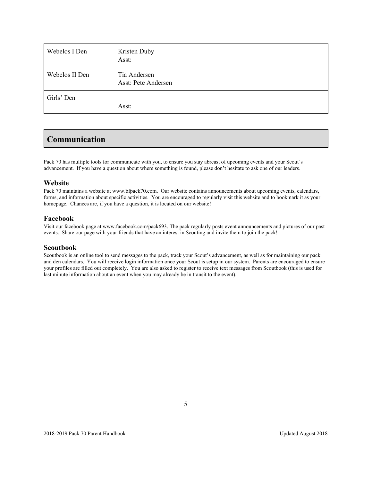| Webelos I Den  | Kristen Duby<br>Asst:               |  |
|----------------|-------------------------------------|--|
| Webelos II Den | Tia Andersen<br>Asst: Pete Andersen |  |
| Girls' Den     | Asst:                               |  |

# <span id="page-5-0"></span>**Communication**

Pack 70 has multiple tools for communicate with you, to ensure you stay abreast of upcoming events and your Scout's advancement. If you have a question about where something is found, please don't hesitate to ask one of our leaders.

### <span id="page-5-1"></span>**Website**

Pack 70 maintains a website at [www.b](http://www.pack693.org/)fpack70.com. Our website contains announcements about upcoming events, calendars, forms, and information about specific activities. You are encouraged to regularly visit this website and to bookmark it as your homepage. Chances are, if you have a question, it is located on our website!

### <span id="page-5-2"></span>**Facebook**

Visit our facebook page at [www.facebook.com/pack693](http://www.facebook.com/pack693). The pack regularly posts event announcements and pictures of our past events. Share our page with your friends that have an interest in Scouting and invite them to join the pack!

#### **Scoutbook**

Scoutbook is an online tool to send messages to the pack, track your Scout's advancement, as well as for maintaining our pack and den calendars. You will receive login information once your Scout is setup in our system. Parents are encouraged to ensure your profiles are filled out completely. You are also asked to register to receive text messages from Scoutbook (this is used for last minute information about an event when you may already be in transit to the event).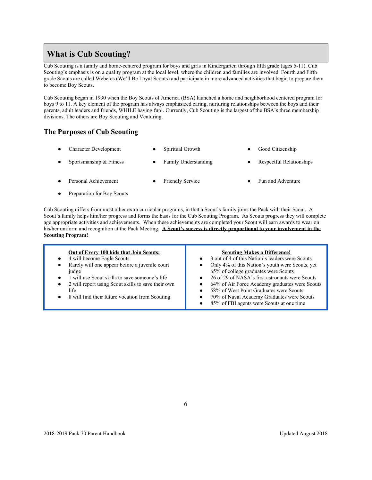# <span id="page-6-0"></span>**What is Cub Scouting?**

Cub Scouting is a family and home-centered program for boys and girls in Kindergarten through fifth grade (ages 5-11). Cub Scouting's emphasis is on a quality program at the local level, where the children and families are involved. Fourth and Fifth grade Scouts are called Webelos (We'll Be Loyal Scouts) and participate in more advanced activities that begin to prepare them to become Boy Scouts.

Cub Scouting began in 1930 when the Boy Scouts of America (BSA) launched a home and neighborhood centered program for boys 9 to 11. A key element of the program has always emphasized caring, nurturing relationships between the boys and their parents, adult leaders and friends, WHILE having fun!. Currently, Cub Scouting is the largest of the BSA's three membership divisions. The others are Boy Scouting and Venturing.

# <span id="page-6-1"></span>**The Purposes of Cub Scouting**

- Character Development Spiritual Growth Good Citizenship Sportsmanship & Fitness ● Family Understanding ● Respectful Relationships
- Personal Achievement Friendly Service Fun and Adventure
- Preparation for Boy Scouts

Cub Scouting differs from most other extra curricular programs, in that a Scout's family joins the Pack with their Scout. A Scout's family helps him/her progress and forms the basis for the Cub Scouting Program. As Scouts progress they will complete age appropriate activities and achievements. When these achievements are completed your Scout will earn awards to wear on his/her uniform and recognition at the Pack Meeting. **A Scout's success is directly proportional to your involvement in the Scouting Program!**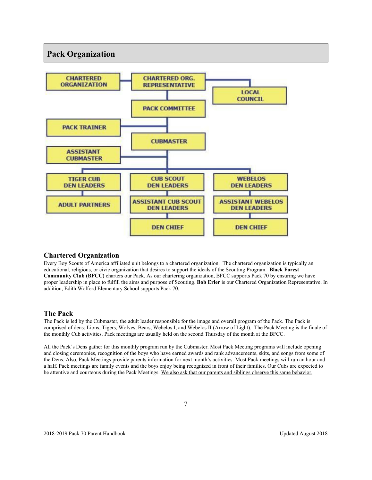# **Pack Organization**



# <span id="page-7-0"></span>**Chartered Organization**

Every Boy Scouts of America affiliated unit belongs to a chartered organization. The chartered organization is typically an educational, religious, or civic organization that desires to support the ideals of the Scouting Program. **Black Forest Community Club (BFCC)** charters our Pack. As our chartering organization, BFCC supports Pack 70 by ensuring we have proper leadership in place to fulfill the aims and purpose of Scouting. **Bob Erler** is our Chartered Organization Representative. In addition, Edith Wolford Elementary School supports Pack 70.

# <span id="page-7-1"></span>**The Pack**

The Pack is led by the Cubmaster, the adult leader responsible for the image and overall program of the Pack. The Pack is comprised of dens: Lions, Tigers, Wolves, Bears, Webelos I, and Webelos II (Arrow of Light). The Pack Meeting is the finale of the monthly Cub activities. Pack meetings are usually held on the second Thursday of the month at the BFCC.

All the Pack's Dens gather for this monthly program run by the Cubmaster. Most Pack Meeting programs will include opening and closing ceremonies, recognition of the boys who have earned awards and rank advancements, skits, and songs from some of the Dens. Also, Pack Meetings provide parents information for next month's activities. Most Pack meetings will run an hour and a half. Pack meetings are family events and the boys enjoy being recognized in front of their families. Our Cubs are expected to be attentive and courteous during the Pack Meetings. We also ask that our parents and siblings observe this same behavior.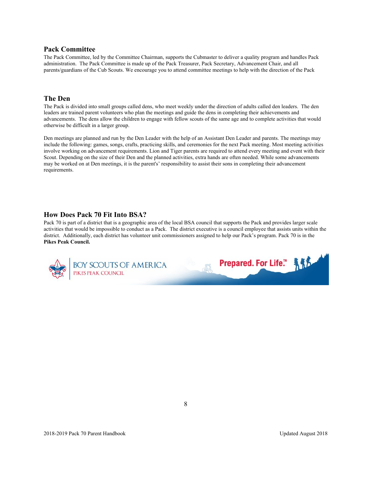#### <span id="page-8-0"></span>**Pack Committee**

The Pack Committee, led by the Committee Chairman, supports the Cubmaster to deliver a quality program and handles Pack administration. The Pack Committee is made up of the Pack Treasurer, Pack Secretary, Advancement Chair, and all parents/guardians of the Cub Scouts. We encourage you to attend committee meetings to help with the direction of the Pack

# **The Den**

The Pack is divided into small groups called dens, who meet weekly under the direction of adults called den leaders. The den leaders are trained parent volunteers who plan the meetings and guide the dens in completing their achievements and advancements. The dens allow the children to engage with fellow scouts of the same age and to complete activities that would otherwise be difficult in a larger group.

Den meetings are planned and run by the Den Leader with the help of an Assistant Den Leader and parents. The meetings may include the following: games, songs, crafts, practicing skills, and ceremonies for the next Pack meeting. Most meeting activities involve working on advancement requirements. Lion and Tiger parents are required to attend every meeting and event with their Scout. Depending on the size of their Den and the planned activities, extra hands are often needed. While some advancements may be worked on at Den meetings, it is the parent's' responsibility to assist their sons in completing their advancement requirements.

#### <span id="page-8-1"></span>**How Does Pack 70 Fit Into BSA?**

Pack 70 is part of a district that is a geographic area of the local BSA council that supports the Pack and provides larger scale activities that would be impossible to conduct as a Pack. The district executive is a council employee that assists units within the district. Additionally, each district has volunteer unit commissioners assigned to help our Pack's program. Pack 70 is in the **Pikes Peak Council.**

**Prepared. For Life.™** 

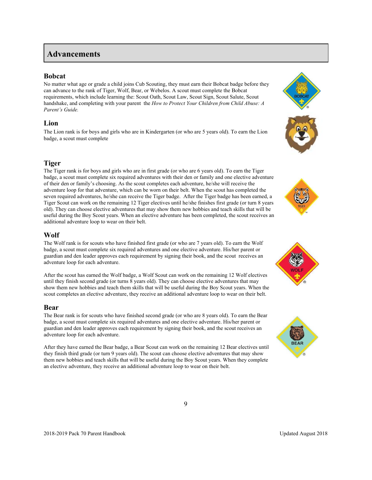# <span id="page-9-0"></span>**Advancements**

### <span id="page-9-1"></span>**Bobcat**

No matter what age or grade a child joins Cub Scouting, they must earn their Bobcat badge before they can advance to the rank of Tiger, Wolf, Bear, or Webelos. A scout must complete the Bobcat requirements, which include learning the: Scout Oath, Scout Law, Scout Sign, Scout Salute, Scout handshake, and completing with your parent the *How to Protect Your Children from Child Abuse: A Parent's Guide.*

# <span id="page-9-2"></span>**Lion**

The Lion rank is for boys and girls who are in Kindergarten (or who are 5 years old). To earn the Lion badge, a scout must complete

# **Tiger**

The Tiger rank is for boys and girls who are in first grade (or who are 6 years old). To earn the Tiger badge, a scout must complete six required adventures with their den or family and one elective adventure of their den or family's choosing. As the scout completes each adventure, he/she will receive the adventure loop for that adventure, which can be worn on their belt. When the scout has completed the seven required adventures, he/she can receive the Tiger badge. After the Tiger badge has been earned, a Tiger Scout can work on the remaining 12 Tiger electives until he/she finishes first grade (or turn 8 years old). They can choose elective adventures that may show them new hobbies and teach skills that will be useful during the Boy Scout years. When an elective adventure has been completed, the scout receives an additional adventure loop to wear on their belt.

# <span id="page-9-3"></span>**Wolf**

The Wolf rank is for scouts who have finished first grade (or who are 7 years old). To earn the Wolf badge, a scout must complete six required adventures and one elective adventure. His/her parent or guardian and den leader approves each requirement by signing their book, and the scout receives an adventure loop for each adventure.

After the scout has earned the Wolf badge, a Wolf Scout can work on the remaining 12 Wolf electives until they finish second grade (or turns 8 years old). They can choose elective adventures that may show them new hobbies and teach them skills that will be useful during the Boy Scout years. When the scout completes an elective adventure, they receive an additional adventure loop to wear on their belt.

#### <span id="page-9-4"></span>**Bear**

The Bear rank is for scouts who have finished second grade (or who are 8 years old). To earn the Bear badge, a scout must complete six required adventures and one elective adventure. His/her parent or guardian and den leader approves each requirement by signing their book, and the scout receives an adventure loop for each adventure.

After they have earned the Bear badge, a Bear Scout can work on the remaining 12 Bear electives until they finish third grade (or turn 9 years old). The scout can choose elective adventures that may show them new hobbies and teach skills that will be useful during the Boy Scout years. When they complete an elective adventure, they receive an additional adventure loop to wear on their belt.









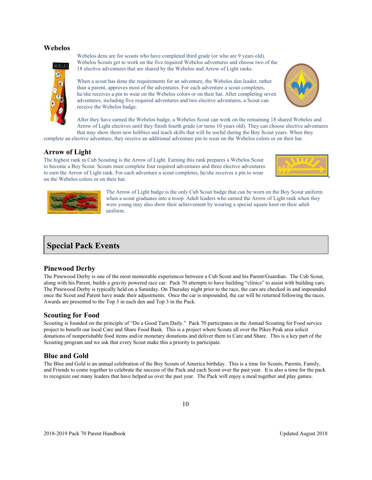#### <span id="page-10-0"></span>**Webelos**



Webelos dens are for scouts who have completed third grade (or who are 9 years old). Webelos Scouts get to work on the five required Webelos adventures and choose two of the 18 elective adventures that are shared by the Webelos and Arrow of Light ranks.

When a scout has done the requirements for an adventure, the Webelos den leader, rather than a parent, approves most of the adventures. For each adventure a scout completes, he/she receives a pin to wear on the Webelos colors or on their hat. After completing seven adventures, including five required adventures and two elective adventures, a Scout can receive the Webelos badge.



After they have earned the Webelos badge, a Webelos Scout can work on the remaining 18 shared Webelos and Arrow of Light electives until they finish fourth grade (or turns 10 years old). They can choose elective adventures that may show them new hobbies and teach skills that will be useful during the Boy Scout years. When they

complete an elective adventure, they receive an additional adventure pin to wear on the Webelos colors or on their hat.

### <span id="page-10-1"></span>**Arrow of Light**

The highest rank in Cub Scouting is the Arrow of Light. Earning this rank prepares a Webelos Scout to become a Boy Scout. Scouts must complete four required adventures and three elective adventures to earn the Arrow of Light rank. For each adventure a scout completes, he/she receives a pin to wear on the Webelos colors or on their hat.





The Arrow of Light badge is the only Cub Scout badge that can be worn on the Boy Scout uniform when a scout graduates into a troop. Adult leaders who earned the Arrow of Light rank when they were young may also show their achievement by wearing a special square knot on their adult uniform.

# <span id="page-10-2"></span>**Special Pack Events**

#### <span id="page-10-3"></span>**Pinewood Derby**

The Pinewood Derby is one of the most memorable experiences between a Cub Scout and his Parent/Guardian. The Cub Scout, along with his Parent, builds a gravity powered race car. Pack 70 attempts to have building "clinics" to assist with building cars. The Pinewood Derby is typically held on a Saturday. On Thursday night prior to the race, the cars are checked in and impounded once the Scout and Parent have made their adjustments. Once the car is impounded, the car will be returned following the races. Awards are presented to the Top 3 in each den and Top 3 in the Pack.

# <span id="page-10-4"></span>**Scouting for Food**

Scouting is founded on the principle of "Do a Good Turn Daily." Pack 70 participates in the Annual Scouting for Food service project to benefit our local Care and Share Food Bank. This is a project where Scouts all over the Pikes Peak area solicit donations of nonperishable food items and/or monetary donations and deliver them to Care and Share. This is a key part of the Scouting program and we ask that every Scout make this a priority to participate.

# <span id="page-10-5"></span>**Blue and Gold**

The Blue and Gold is an annual celebration of the Boy Scouts of America birthday. This is a time for Scouts, Parents, Family, and Friends to come together to celebrate the success of the Pack and each Scout over the past year. It is also a time for the pack to recognize our many leaders that have helped us over the past year. The Pack will enjoy a meal together and play games.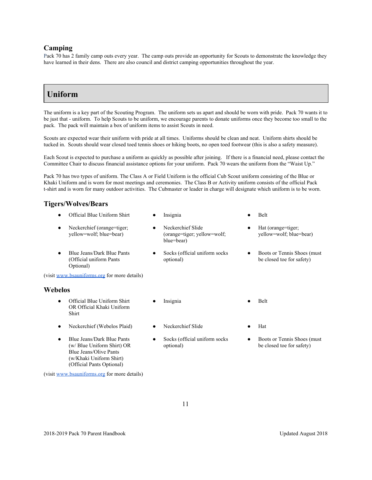#### <span id="page-11-0"></span>**Camping**

Pack 70 has 2 family camp outs every year. The camp outs provide an opportunity for Scouts to demonstrate the knowledge they have learned in their dens. There are also council and district camping opportunities throughout the year.

# <span id="page-11-1"></span>**Uniform**

The uniform is a key part of the Scouting Program. The uniform sets us apart and should be worn with pride. Pack 70 wants it to be just that - uniform. To help Scouts to be uniform, we encourage parents to donate uniforms once they become too small to the pack. The pack will maintain a box of uniform items to assist Scouts in need.

Scouts are expected wear their uniform with pride at all times. Uniforms should be clean and neat. Uniform shirts should be tucked in. Scouts should wear closed toed tennis shoes or hiking boots, no open toed footwear (this is also a safety measure).

Each Scout is expected to purchase a uniform as quickly as possible after joining. If there is a financial need, please contact the Committee Chair to discuss financial assistance options for your uniform. Pack 70 wears the uniform from the "Waist Up."

Pack 70 has two types of uniform. The Class A or Field Uniform is the official Cub Scout uniform consisting of the Blue or Khaki Uniform and is worn for most meetings and ceremonies. The Class B or Activity uniform consists of the official Pack t-shirt and is worn for many outdoor activities. The Cubmaster or leader in charge will designate which uniform is to be worn.

# **Tigers/Wolves/Bears**

Official Blue Uniform Shirt ● Insignia ● Belt Neckerchief (orange=tiger; yellow=wolf; blue=bear) ● Neckerchief Slide (orange=tiger; yellow=wolf; blue=bear) Hat (orange=tiger; yellow=wolf; blue=bear) ● Blue Jeans/Dark Blue Pants (Official uniform Pants Optional) Socks (official uniform socks optional) ● Boots or Tennis Shoes (must be closed toe for safety) (visit [www.bsauniforms.org](http://www.bsauniforms.org/) for more details) **Webelos** Official Blue Uniform Shirt OR Official Khaki Uniform Shirt Insignia **•** Belt ● Neckerchief (Webelos Plaid) ● Neckerchief Slide ● Hat

Socks (official uniform socks

optional)

<span id="page-11-2"></span>Blue Jeans/Dark Blue Pants (w/ Blue Uniform Shirt) OR Blue Jeans/Olive Pants (w/Khaki Uniform Shirt) (Official Pants Optional)

(visit [www.bsauniforms.org](http://www.bsauniforms.org/) for more details)

Boots or Tennis Shoes (must be closed toe for safety)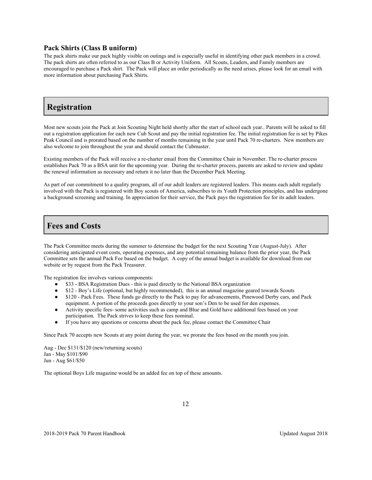#### <span id="page-12-0"></span>**Pack Shirts (Class B uniform)**

The pack shirts make our pack highly visible on outings and is especially useful in identifying other pack members in a crowd. The pack shirts are often referred to as our Class B or Activity Uniform. All Scouts, Leaders, and Family members are encouraged to purchase a Pack shirt. The Pack will place an order periodically as the need arises, please look for an email with more information about purchasing Pack Shirts.

# <span id="page-12-1"></span>**Registration**

Most new scouts join the Pack at Join Scouting Night held shortly after the start of school each year.. Parents will be asked to fill out a registration application for each new Cub Scout and pay the initial registration fee. The initial registration fee is set by Pikes Peak Council and is prorated based on the number of months remaining in the year until Pack 70 re-charters. New members are also welcome to join throughout the year and should contact the Cubmaster.

Existing members of the Pack will receive a re-charter email from the Committee Chair in November. The re-charter process establishes Pack 70 as a BSA unit for the upcoming year. During the re-charter process, parents are asked to review and update the renewal information as necessary and return it no later than the December Pack Meeting.

As part of our commitment to a quality program, all of our adult leaders are registered leaders. This means each adult regularly involved with the Pack is registered with Boy scouts of America, subscribes to its Youth Protection principles, and has undergone a background screening and training. In appreciation for their service, the Pack pays the registration fee for its adult leaders.

# <span id="page-12-2"></span>**Fees and Costs**

The Pack Committee meets during the summer to determine the budget for the next Scouting Year (August-July). After considering anticipated event costs, operating expenses, and any potential remaining balance from the prior year, the Pack Committee sets the annual Pack Fee based on the budget. A copy of the annual budget is available for download from our website or by request from the Pack Treasurer.

The registration fee involves various components:

- \$33 BSA Registration Dues this is paid directly to the National BSA organization
- \$12 Boy's Life (optional, but highly recommended), this is an annual magazine geared towards Scouts
- \$120 Pack Fees. These funds go directly to the Pack to pay for advancements, Pinewood Derby cars, and Pack equipment. A portion of the proceeds goes directly to your son's Den to be used for den expenses.
- Activity specific fees- some activities such as camp and Blue and Gold have additional fees based on your participation. The Pack strives to keep these fees nominal.
- If you have any questions or concerns about the pack fee, please contact the Committee Chair

Since Pack 70 accepts new Scouts at any point during the year, we prorate the fees based on the month you join.

Aug - Dec \$131/\$120 (new/returning scouts) Jan - May \$101/\$90 Jun - Aug \$61/\$50

The optional Boys Life magazine would be an added fee on top of these amounts.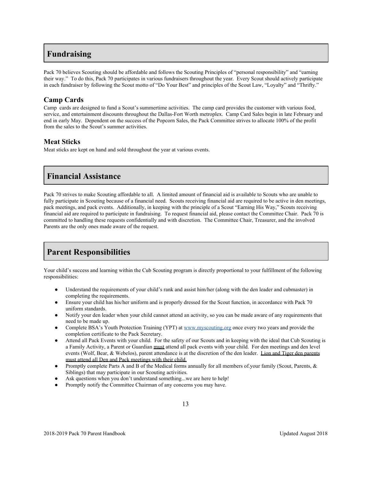# <span id="page-13-0"></span>**Fundraising**

Pack 70 believes Scouting should be affordable and follows the Scouting Principles of "personal responsibility" and "earning their way." To do this, Pack 70 participates in various fundraisers throughout the year. Every Scout should actively participate in each fundraiser by following the Scout motto of "Do Your Best" and principles of the Scout Law, "Loyalty" and "Thrifty."

# <span id="page-13-1"></span>**Camp Cards**

Camp cards are designed to fund a Scout's summertime activities. The camp card provides the customer with various food, service, and entertainment discounts throughout the Dallas-Fort Worth metroplex. Camp Card Sales begin in late February and end in early May. Dependent on the success of the Popcorn Sales, the Pack Committee strives to allocate 100% of the profit from the sales to the Scout's summer activities.

# **Meat Sticks**

Meat sticks are kept on hand and sold throughout the year at various events.

# <span id="page-13-2"></span>**Financial Assistance**

Pack 70 strives to make Scouting affordable to all. A limited amount of financial aid is available to Scouts who are unable to fully participate in Scouting because of a financial need. Scouts receiving financial aid are required to be active in den meetings, pack meetings, and pack events. Additionally, in keeping with the principle of a Scout "Earning His Way," Scouts receiving financial aid are required to participate in fundraising. To request financial aid, please contact the Committee Chair. Pack 70 is committed to handling these requests confidentially and with discretion. The Committee Chair, Treasurer, and the involved Parents are the only ones made aware of the request.

# <span id="page-13-3"></span>**Parent Responsibilities**

Your child's success and learning within the Cub Scouting program is directly proportional to your fulfillment of the following responsibilities:

- Understand the requirements of your child's rank and assist him/her (along with the den leader and cubmaster) in completing the requirements.
- Ensure your child has his/her uniform and is properly dressed for the Scout function, in accordance with Pack 70 uniform standards.
- Notify your den leader when your child cannot attend an activity, so you can be made aware of any requirements that need to be made up.
- Complete BSA's Youth Protection Training (YPT) at [www.myscouting.org](http://www.myscouting.org/) once every two years and provide the completion certificate to the Pack Secretary.
- Attend all Pack Events with your child. For the safety of our Scouts and in keeping with the ideal that Cub Scouting is a Family Activity, a Parent or Guardian must attend all pack events with your child. For den meetings and den level events (Wolf, Bear, & Webelos), parent attendance is at the discretion of the den leader. Lion and Tiger den parents must attend all Den and Pack meetings with their child.
- Promptly complete Parts A and B of the Medical forms annually for all members of your family (Scout, Parents, & Siblings) that may participate in our Scouting activities.
- Ask questions when you don't understand something...we are here to help!
- Promptly notify the Committee Chairman of any concerns you may have.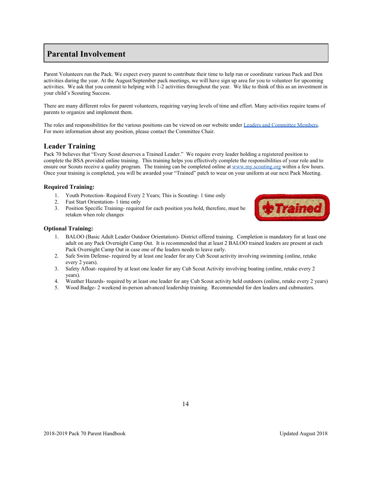# <span id="page-14-0"></span>**Parental Involvement**

Parent Volunteers run the Pack. We expect every parent to contribute their time to help run or coordinate various Pack and Den activities during the year. At the August/September pack meetings, we will have sign up area for you to volunteer for upcoming activities. We ask that you commit to helping with 1-2 activities throughout the year. We like to think of this as an investment in your child's Scouting Success.

There are many different roles for parent volunteers, requiring varying levels of time and effort. Many activities require teams of parents to organize and implement them.

The roles and responsibilities for the various positions can be viewed on our website under [Leaders and Committee Members.](http://www.pack693.org/home/ctl) For more information about any position, please contact the Committee Chair.

# <span id="page-14-1"></span>**Leader Training**

Pack 70 believes that "Every Scout deserves a Trained Leader." We require every leader holding a registered position to complete the BSA provided online training. This training helps you effectively complete the responsibilities of your role and to ensure our Scouts receive a quality program. The training can be completed online at [www.my.scouting.org](http://www.my.scouting.org/) within a few hours. Once your training is completed, you will be awarded your "Trained" patch to wear on your uniform at our next Pack Meeting.

#### <span id="page-14-2"></span>**Required Training:**

- 1. Youth Protection- Required Every 2 Years; This is Scouting- 1 time only
- 2. Fast Start Orientation- 1 time only
- 3. Position Specific Training- required for each position you hold, therefore, must be retaken when role changes



#### <span id="page-14-3"></span>**Optional Training:**

- 1. BALOO (Basic Adult Leader Outdoor Orientation)- District offered training. Completion is mandatory for at least one adult on any Pack Overnight Camp Out. It is recommended that at least 2 BALOO trained leaders are present at each Pack Overnight Camp Out in case one of the leaders needs to leave early.
- 2. Safe Swim Defense- required by at least one leader for any Cub Scout activity involving swimming (online, retake every 2 years).
- 3. Safety Afloat- required by at least one leader for any Cub Scout Activity involving boating (online, retake every 2 years).
- 4. Weather Hazards- required by at least one leader for any Cub Scout activity held outdoors (online, retake every 2 years)
- 5. Wood Badge- 2 weekend in-person advanced leadership training. Recommended for den leaders and cubmasters.